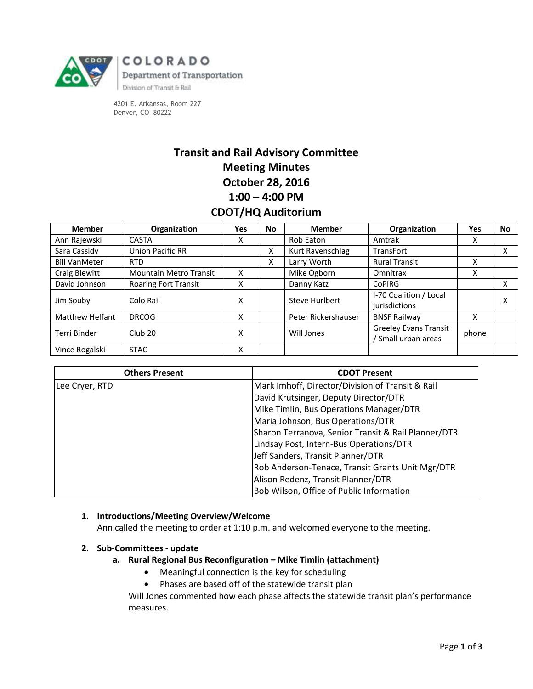

COLORADO Department of Transportation Division of Transit & Rail

4201 E. Arkansas, Room 227 Denver, CO 80222

# **Transit and Rail Advisory Committee Meeting Minutes October 28, 2016 1:00 – 4:00 PM CDOT/HQ Auditorium**

| <b>Member</b>          | Organization                  | Yes | <b>No</b> | <b>Member</b>       | Organization                                        | Yes   | No. |
|------------------------|-------------------------------|-----|-----------|---------------------|-----------------------------------------------------|-------|-----|
| Ann Rajewski           | <b>CASTA</b>                  | x   |           | Rob Eaton           | Amtrak                                              | x     |     |
| Sara Cassidy           | <b>Union Pacific RR</b>       |     | x         | Kurt Ravenschlag    | <b>TransFort</b>                                    |       |     |
| <b>Bill VanMeter</b>   | <b>RTD</b>                    |     | X         | Larry Worth         | <b>Rural Transit</b>                                | x     |     |
| Craig Blewitt          | <b>Mountain Metro Transit</b> | X   |           | Mike Ogborn         | Omnitrax                                            | x     |     |
| David Johnson          | <b>Roaring Fort Transit</b>   | X   |           | Danny Katz          | <b>CoPIRG</b>                                       |       |     |
| Jim Souby              | Colo Rail                     | X   |           | Steve Hurlbert      | I-70 Coalition / Local<br>jurisdictions             |       |     |
| <b>Matthew Helfant</b> | <b>DRCOG</b>                  | x   |           | Peter Rickershauser | <b>BNSF Railway</b>                                 | x     |     |
| Terri Binder           | Club <sub>20</sub>            | Χ   |           | Will Jones          | <b>Greeley Evans Transit</b><br>/ Small urban areas | phone |     |
| Vince Rogalski         | <b>STAC</b>                   | x   |           |                     |                                                     |       |     |

| <b>Others Present</b> | <b>CDOT Present</b>                                 |
|-----------------------|-----------------------------------------------------|
| Lee Cryer, RTD        | Mark Imhoff, Director/Division of Transit & Rail    |
|                       | David Krutsinger, Deputy Director/DTR               |
|                       | Mike Timlin, Bus Operations Manager/DTR             |
|                       | Maria Johnson, Bus Operations/DTR                   |
|                       | Sharon Terranova, Senior Transit & Rail Planner/DTR |
|                       | Lindsay Post, Intern-Bus Operations/DTR             |
|                       | Jeff Sanders, Transit Planner/DTR                   |
|                       | Rob Anderson-Tenace, Transit Grants Unit Mgr/DTR    |
|                       | Alison Redenz, Transit Planner/DTR                  |
|                       | Bob Wilson, Office of Public Information            |

# **1. Introductions/Meeting Overview/Welcome**

Ann called the meeting to order at 1:10 p.m. and welcomed everyone to the meeting.

## **2. Sub-Committees - update**

## **a. Rural Regional Bus Reconfiguration – Mike Timlin (attachment)**

- Meaningful connection is the key for scheduling
- Phases are based off of the statewide transit plan

Will Jones commented how each phase affects the statewide transit plan's performance measures.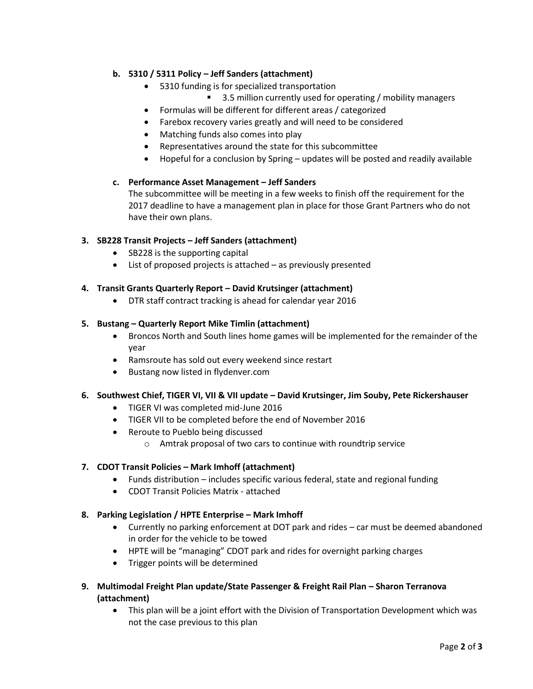# **b. 5310 / 5311 Policy – Jeff Sanders (attachment)**

- 5310 funding is for specialized transportation
	- 3.5 million currently used for operating / mobility managers
- Formulas will be different for different areas / categorized
- Farebox recovery varies greatly and will need to be considered
- Matching funds also comes into play
- Representatives around the state for this subcommittee
- Hopeful for a conclusion by Spring updates will be posted and readily available

## **c. Performance Asset Management – Jeff Sanders**

The subcommittee will be meeting in a few weeks to finish off the requirement for the 2017 deadline to have a management plan in place for those Grant Partners who do not have their own plans.

## **3. SB228 Transit Projects – Jeff Sanders (attachment)**

- SB228 is the supporting capital
- List of proposed projects is attached as previously presented

## **4. Transit Grants Quarterly Report – David Krutsinger (attachment)**

DTR staff contract tracking is ahead for calendar year 2016

## **5. Bustang – Quarterly Report Mike Timlin (attachment)**

- Broncos North and South lines home games will be implemented for the remainder of the year
- Ramsroute has sold out every weekend since restart
- Bustang now listed in flydenver.com

## **6. Southwest Chief, TIGER VI, VII & VII update – David Krutsinger, Jim Souby, Pete Rickershauser**

- TIGER VI was completed mid-June 2016
- TIGER VII to be completed before the end of November 2016
- Reroute to Pueblo being discussed
	- o Amtrak proposal of two cars to continue with roundtrip service

## **7. CDOT Transit Policies – Mark Imhoff (attachment)**

- Funds distribution includes specific various federal, state and regional funding
- CDOT Transit Policies Matrix attached

## **8. Parking Legislation / HPTE Enterprise – Mark Imhoff**

- Currently no parking enforcement at DOT park and rides car must be deemed abandoned in order for the vehicle to be towed
- HPTE will be "managing" CDOT park and rides for overnight parking charges
- Trigger points will be determined
- **9. Multimodal Freight Plan update/State Passenger & Freight Rail Plan – Sharon Terranova (attachment)**
	- This plan will be a joint effort with the Division of Transportation Development which was not the case previous to this plan